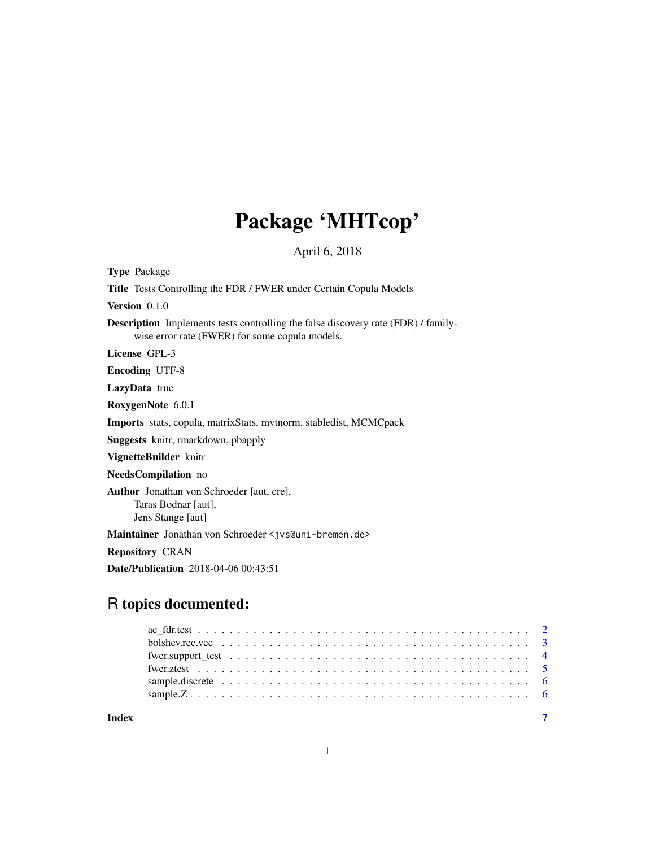## Package 'MHTcop'

April 6, 2018

| <b>Type Package</b>                                                                                                                        |
|--------------------------------------------------------------------------------------------------------------------------------------------|
| <b>Title</b> Tests Controlling the FDR / FWER under Certain Copula Models                                                                  |
| Version $0.1.0$                                                                                                                            |
| <b>Description</b> Implements tests controlling the false discovery rate (FDR) / family-<br>wise error rate (FWER) for some copula models. |
| License GPL-3                                                                                                                              |
| <b>Encoding UTF-8</b>                                                                                                                      |
| LazyData true                                                                                                                              |
| RoxygenNote 6.0.1                                                                                                                          |
| Imports stats, copula, matrixStats, mytnorm, stabledist, MCMCpack                                                                          |
| <b>Suggests</b> knitr, rmarkdown, pbapply                                                                                                  |
| VignetteBuilder knitr                                                                                                                      |
| <b>NeedsCompilation</b> no                                                                                                                 |
| <b>Author</b> Jonathan von Schroeder [aut, cre],<br>Taras Bodnar [aut],<br>Jens Stange [aut]                                               |
| Maintainer Jonathan von Schroeder < jvs@uni-bremen.de>                                                                                     |
| <b>Repository CRAN</b>                                                                                                                     |
| <b>Date/Publication</b> 2018-04-06 00:43:51                                                                                                |

### R topics documented:

**Index** [7](#page-6-0) **7**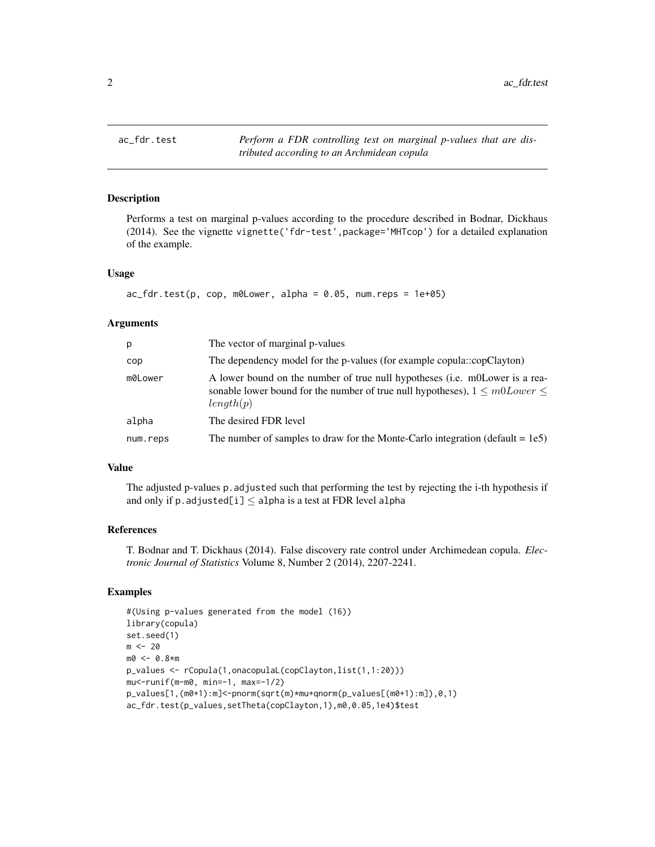<span id="page-1-0"></span>

Performs a test on marginal p-values according to the procedure described in Bodnar, Dickhaus (2014). See the vignette vignette('fdr-test',package='MHTcop') for a detailed explanation of the example.

#### Usage

```
ac_fdr.test(p, cop, m0Lower, alpha = 0.05, num.reps = 1e+05)
```
#### Arguments

| p        | The vector of marginal p-values                                                                                                                                              |
|----------|------------------------------------------------------------------------------------------------------------------------------------------------------------------------------|
| cop      | The dependency model for the p-values (for example copula::copClayton)                                                                                                       |
| m0Lower  | A lower bound on the number of true null hypotheses (i.e. m0Lower is a rea-<br>sonable lower bound for the number of true null hypotheses), $1 \le m0Lower \le$<br>length(p) |
| alpha    | The desired FDR level                                                                                                                                                        |
| num.reps | The number of samples to draw for the Monte-Carlo integration (default = $1e5$ )                                                                                             |

#### Value

The adjusted p-values p.adjusted such that performing the test by rejecting the i-th hypothesis if and only if p. adjusted[i]  $\leq$  alpha is a test at FDR level alpha

#### References

T. Bodnar and T. Dickhaus (2014). False discovery rate control under Archimedean copula. *Electronic Journal of Statistics* Volume 8, Number 2 (2014), 2207-2241.

#### Examples

```
#(Using p-values generated from the model (16))
library(copula)
set.seed(1)
m < - 20m0 <- 0.8*m
p_values <- rCopula(1,onacopulaL(copClayton,list(1,1:20)))
mu<-runif(m-m0, min=-1, max=-1/2)
p_values[1,(m0+1):m]<-pnorm(sqrt(m)*mu+qnorm(p_values[(m0+1):m]),0,1)
ac_fdr.test(p_values,setTheta(copClayton,1),m0,0.05,1e4)$test
```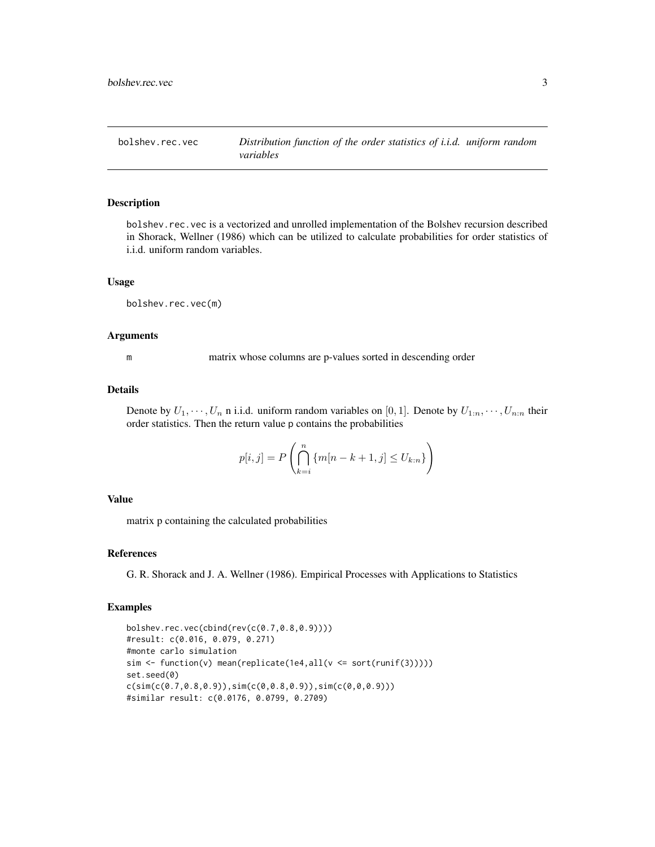<span id="page-2-0"></span>

bolshev.rec.vec is a vectorized and unrolled implementation of the Bolshev recursion described in Shorack, Wellner (1986) which can be utilized to calculate probabilities for order statistics of i.i.d. uniform random variables.

#### Usage

bolshev.rec.vec(m)

#### Arguments

m matrix whose columns are p-values sorted in descending order

#### Details

Denote by  $U_1, \dots, U_n$  n i.i.d. uniform random variables on [0, 1]. Denote by  $U_{1:n}, \dots, U_{n:n}$  their order statistics. Then the return value p contains the probabilities

$$
p[i,j] = P\left(\bigcap_{k=i}^{n} \{m[n-k+1,j] \le U_{k:n}\}\right)
$$

#### Value

matrix p containing the calculated probabilities

#### References

G. R. Shorack and J. A. Wellner (1986). Empirical Processes with Applications to Statistics

#### Examples

```
bolshev.rec.vec(cbind(rev(c(0.7,0.8,0.9))))
#result: c(0.016, 0.079, 0.271)
#monte carlo simulation
sim <- function(v) mean(replicate(1e4,all(v <= sort(runif(3)))))
set.seed(0)
c(sim(c(\emptyset.7, \emptyset.8, \emptyset.9)), sim(c(\emptyset, \emptyset.8, \emptyset.9)), sim(c(\emptyset, \emptyset, \emptyset.9)))#similar result: c(0.0176, 0.0799, 0.2709)
```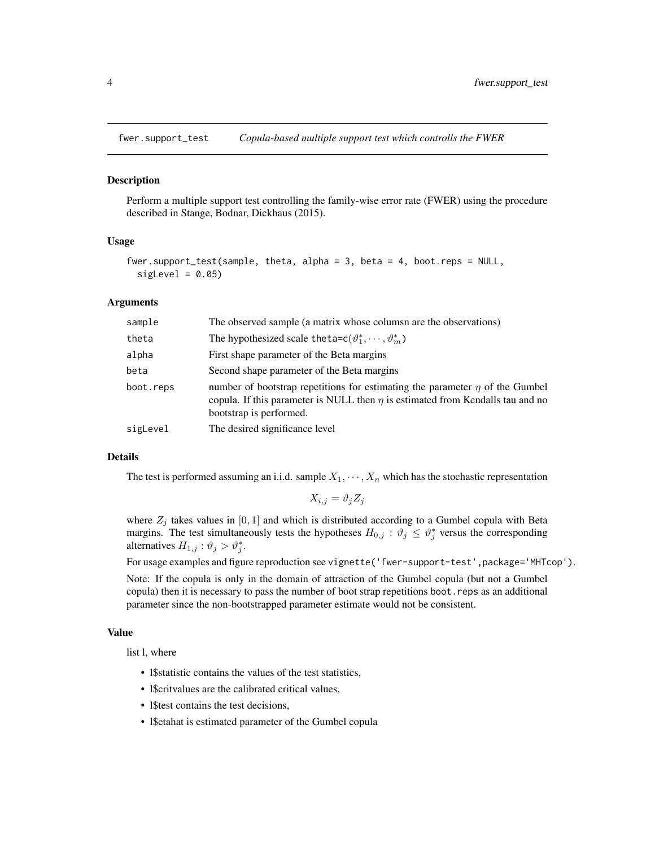<span id="page-3-0"></span>

Perform a multiple support test controlling the family-wise error rate (FWER) using the procedure described in Stange, Bodnar, Dickhaus (2015).

#### Usage

```
fwer.support_test(sample, theta, alpha = 3, beta = 4, boot.reps = NULL,
 sigLevel = 0.05
```
#### Arguments

| sample    | The observed sample (a matrix whose colums are the observations)                                                                                                                                    |
|-----------|-----------------------------------------------------------------------------------------------------------------------------------------------------------------------------------------------------|
| theta     | The hypothesized scale theta= $c(\vartheta_1^*, \dots, \vartheta_m^*)$                                                                                                                              |
| alpha     | First shape parameter of the Beta margins                                                                                                                                                           |
| beta      | Second shape parameter of the Beta margins                                                                                                                                                          |
| boot.reps | number of bootstrap repetitions for estimating the parameter $\eta$ of the Gumbel<br>copula. If this parameter is NULL then $\eta$ is estimated from Kendalls tau and no<br>bootstrap is performed. |
| sigLevel  | The desired significance level                                                                                                                                                                      |

#### Details

The test is performed assuming an i.i.d. sample  $X_1, \dots, X_n$  which has the stochastic representation

$$
X_{i,j} = \vartheta_j Z_j
$$

where  $Z_j$  takes values in [0, 1] and which is distributed according to a Gumbel copula with Beta margins. The test simultaneously tests the hypotheses  $H_{0,j}$ :  $\vartheta_j \leq \vartheta_j^*$  versus the corresponding alternatives  $H_{1,j}$ :  $\vartheta_j > \vartheta_j^*$ .

For usage examples and figure reproduction see vignette('fwer-support-test',package='MHTcop').

Note: If the copula is only in the domain of attraction of the Gumbel copula (but not a Gumbel copula) then it is necessary to pass the number of boot strap repetitions boot.reps as an additional parameter since the non-bootstrapped parameter estimate would not be consistent.

#### Value

list l, where

- l\$statistic contains the values of the test statistics,
- l\$critvalues are the calibrated critical values,
- l\$test contains the test decisions,
- l\$etahat is estimated parameter of the Gumbel copula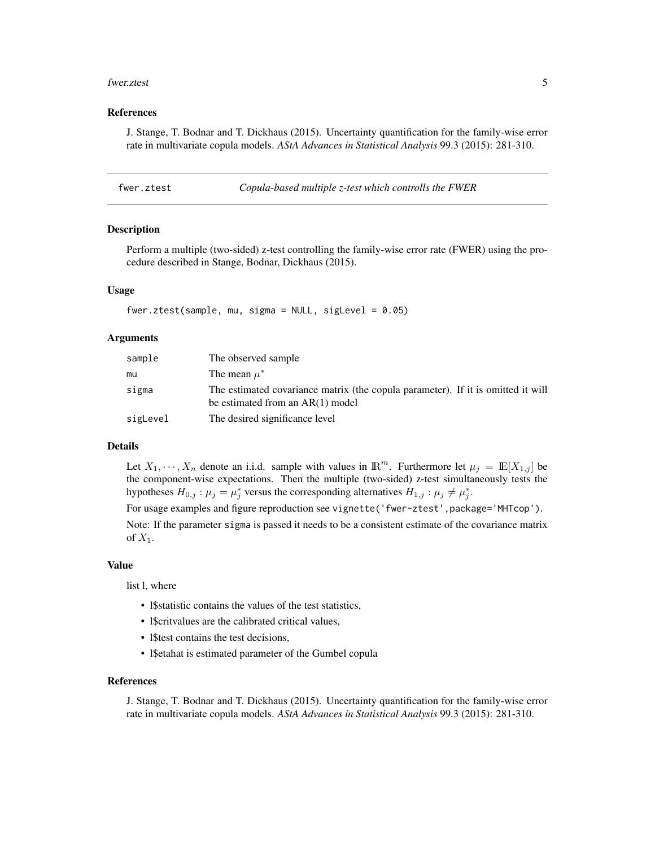#### <span id="page-4-0"></span>fwer.ztest 5

#### References

J. Stange, T. Bodnar and T. Dickhaus (2015). Uncertainty quantification for the family-wise error rate in multivariate copula models. *AStA Advances in Statistical Analysis* 99.3 (2015): 281-310.

| fwer.ztest | Copula-based multiple z-test which controlls the FWER |  |
|------------|-------------------------------------------------------|--|
|------------|-------------------------------------------------------|--|

#### Description

Perform a multiple (two-sided) z-test controlling the family-wise error rate (FWER) using the procedure described in Stange, Bodnar, Dickhaus (2015).

#### Usage

```
fwer.ztest(sample, mu, sigma = NULL, sigLevel = 0.05)
```
#### Arguments

| sample   | The observed sample                                                                                                    |
|----------|------------------------------------------------------------------------------------------------------------------------|
| mu       | The mean $\mu^*$                                                                                                       |
| sigma    | The estimated covariance matrix (the copula parameter). If it is omitted it will<br>be estimated from an $AR(1)$ model |
| sigLevel | The desired significance level                                                                                         |

### Details

Let  $X_1, \dots, X_n$  denote an i.i.d. sample with values in  $\mathbb{R}^m$ . Furthermore let  $\mu_j = \mathbb{E}[X_{1,j}]$  be the component-wise expectations. Then the multiple (two-sided) z-test simultaneously tests the hypotheses  $H_{0,j}$ :  $\mu_j = \mu_j^*$  versus the corresponding alternatives  $H_{1,j}$ :  $\mu_j \neq \mu_j^*$ .

For usage examples and figure reproduction see vignette('fwer-ztest',package='MHTcop').

Note: If the parameter sigma is passed it needs to be a consistent estimate of the covariance matrix of  $X_1$ .

#### Value

list l, where

- l\$statistic contains the values of the test statistics,
- l\$critvalues are the calibrated critical values,
- l\$test contains the test decisions,
- l\$etahat is estimated parameter of the Gumbel copula

#### References

J. Stange, T. Bodnar and T. Dickhaus (2015). Uncertainty quantification for the family-wise error rate in multivariate copula models. *AStA Advances in Statistical Analysis* 99.3 (2015): 281-310.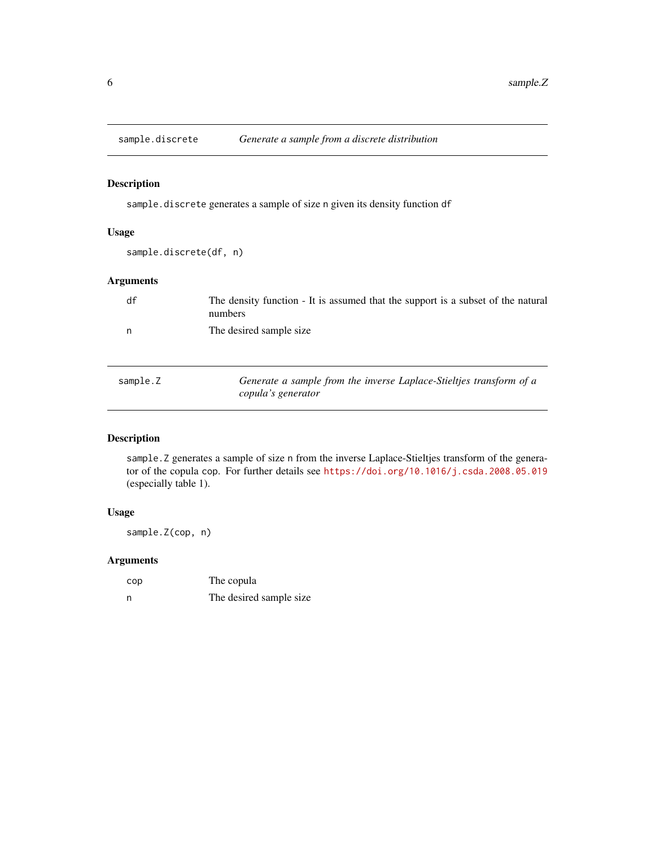<span id="page-5-0"></span>

sample.discrete generates a sample of size n given its density function df

*copula's generator*

### Usage

sample.discrete(df, n)

### Arguments

| df       | The density function - It is assumed that the support is a subset of the natural<br>numbers |
|----------|---------------------------------------------------------------------------------------------|
| n        | The desired sample size.                                                                    |
| sample.Z | Generate a sample from the inverse Laplace-Stieltjes transform of a                         |

### Description

sample.Z generates a sample of size n from the inverse Laplace-Stieltjes transform of the generator of the copula cop. For further details see <https://doi.org/10.1016/j.csda.2008.05.019> (especially table 1).

#### Usage

sample.Z(cop, n)

#### Arguments

| cop | The copula               |
|-----|--------------------------|
| n   | The desired sample size. |